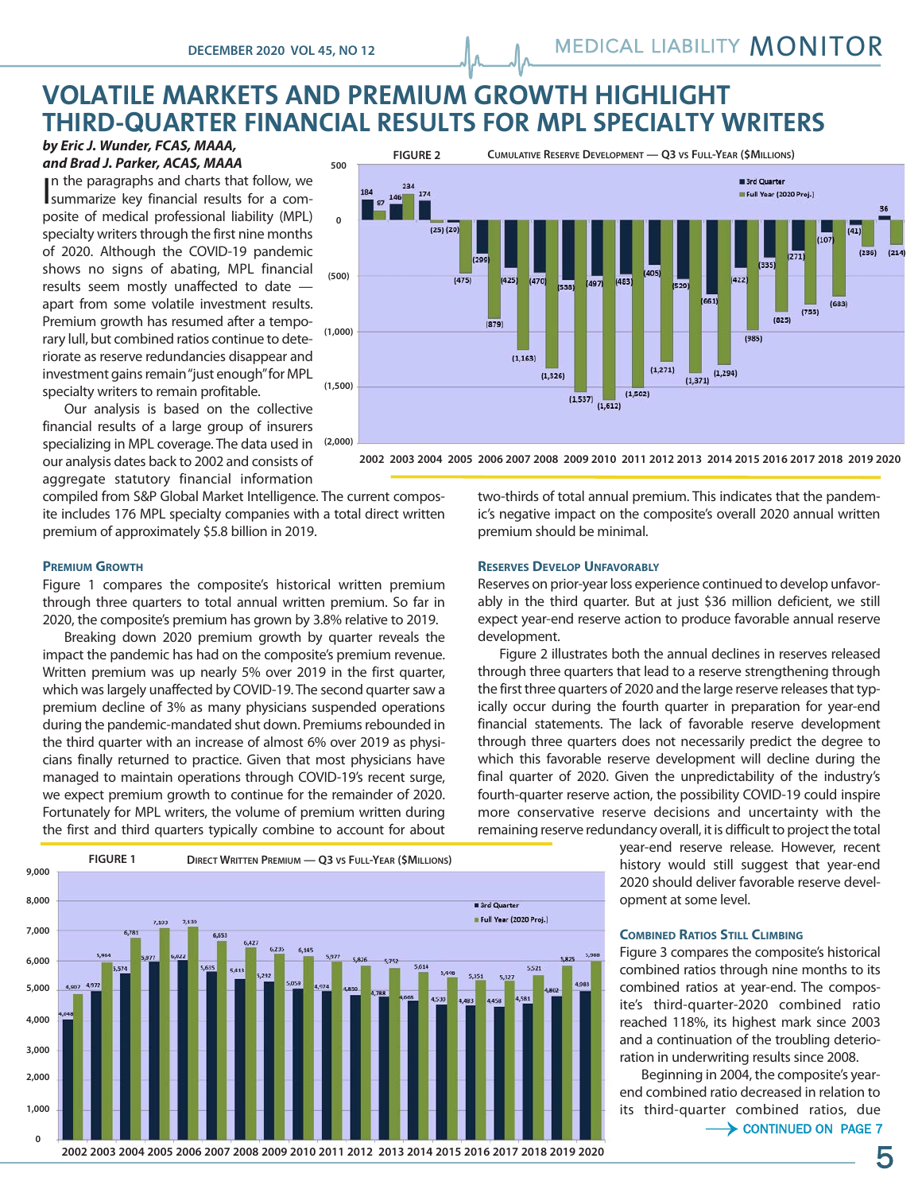# "#\$%&'!(! **THIRD-QUARTER FINANCIAL RESULTS FOR MPL SPECIALTY WRITERS VOLATILE MARKETS AND PREMIUM GROWTH HIGHLIGHT**

#### *by Eric J. Wunder, FCAS, MAAA, and Brad J. Parker, ACAS, MAAA*

In the paragraphs and charts that follow, we summarize key financial results for a comsummarize key financial results for a composite of medical professional liability (MPL) specialty writers through the first nine months of 2020. Although the COVID-19 pandemic shows no signs of abating, MPL financial results seem mostly unaffected to date apart from some volatile investment results. Premium growth has resumed after a temporary lull, but combined ratios continue to deteriorate as reserve redundancies disappear and investment gains remain "just enough" for MPL specialty writers to remain profitable.

Our analysis is based on the collective financial results of a large group of insurers specializing in MPL coverage. The data used in our analysis dates back to 2002 and consists of aggregate statutory financial information

compiled from S&P Global Market Intelligence. The current composite includes 176 MPL specialty companies with a total direct written premium of approximately \$5.8 billion in 2019.



"#\$%&'!)! **2002 2003 2004 2005 2006 2007 2008 2009 2010 2011 2012 2013 2014 2015 2016 2017 2018 2019 2020**

**PREMIUM GROWTH**

Figure 1 compares the composite's historical written premium through three quarters to total annual written premium. So far in 2020, the composite's premium has grown by 3.8% relative to 2019.

Breaking down 2020 premium growth by quarter reveals the impact the pandemic has had on the composite's premium revenue. Written premium was up nearly 5% over 2019 in the first quarter, which was largely unaffected by COVID-19. The second quarter saw a premium decline of 3% as many physicians suspended operations during the pandemic-mandated shut down. Premiums rebounded in the third quarter with an increase of almost 6% over 2019 as physicians finally returned to practice. Given that most physicians have managed to maintain operations through COVID-19's recent surge, we expect premium growth to continue for the remainder of 2020. Fortunately for MPL writers, the volume of premium written during the first and third quarters typically combine to account for about <u> 1980 - Johann Stone, fransk fotballsk politiker (d. 1980)</u>



two-thirds of total annual premium. This indicates that the pandemic's negative impact on the composite's overall 2020 annual written premium should be minimal.

### **RESERVES DEVELOP UNFAVORABLY**

Reserves on prior-year loss experience continued to develop unfavorably in the third quarter. But at just \$36 million deficient, we still expect year-end reserve action to produce favorable annual reserve development.

Figure 2 illustrates both the annual declines in reserves released through three quarters that lead to a reserve strengthening through the first three quarters of 2020 and the large reserve releases that typically occur during the fourth quarter in preparation for year-end financial statements. The lack of favorable reserve development through three quarters does not necessarily predict the degree to which this favorable reserve development will decline during the final quarter of 2020. Given the unpredictability of the industry's fourth-quarter reserve action, the possibility COVID-19 could inspire more conservative reserve decisions and uncertainty with the remaining reserve redundancy overall, it is difficult to project the total

> year-end reserve release. However, recent history would still suggest that year-end 2020 should deliver favorable reserve development at some level.

### **COMBINED RATIOS STILL CLIMBING**

Figure 3 compares the composite's historical combined ratios through nine months to its combined ratios at year-end. The composite's third-quarter-2020 combined ratio reached 118%, its highest mark since 2003 and a continuation of the troubling deterioration in underwriting results since 2008.

Beginning in 2004, the composite's yearend combined ratio decreased in relation to its third-quarter combined ratios, due

 $\rightarrow$  continued on page 7

**2002 2003 2004 2005 2006 2007 2008 2009 2010 2011 2012 2013 2014 2015 2016 2017 2018 2019 2020** 5

 $(214)$